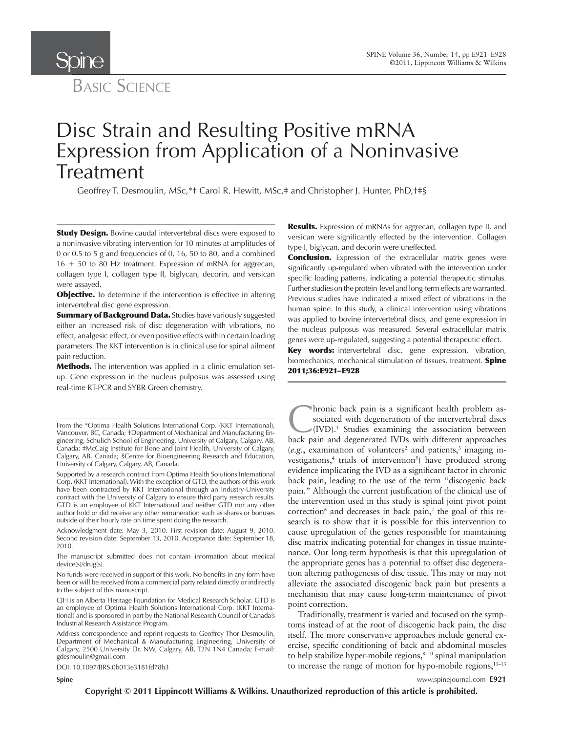

**Spipe** 

# Disc Strain and Resulting Positive mRNA Expression from Application of a Noninvasive Treatment

Geoffrey T. Desmoulin, MSc,\*t Carol R. Hewitt, MSc,‡ and Christopher J. Hunter, PhD,t‡§

**Study Design.** Bovine caudal intervertebral discs were exposed to a noninvasive vibrating intervention for 10 minutes at amplitudes of 0 or 0.5 to 5 g and frequencies of 0, 16, 50 to 80, and a combined 16 + 50 to 80 Hz treatment. Expression of mRNA for aggrecan, collagen type I, collagen type II, biglycan, decorin, and versican were assayed.

**Objective.** To determine if the intervention is effective in altering intervertebral disc gene expression.

**Summary of Background Data.** Studies have variously suggested either an increased risk of disc degeneration with vibrations, no effect, analgesic effect, or even positive effects within certain loading parameters. The KKT intervention is in clinical use for spinal ailment pain reduction.

Methods. The intervention was applied in a clinic emulation setup. Gene expression in the nucleus pulposus was assessed using real-time RT-PCR and SYBR Green chemistry.

Acknowledgment date: May 3, 2010. First revision date: August 9, 2010. Second revision date: September 13, 2010. Acceptance date: September 18, 2010.

The manuscript submitted does not contain information about medical device(s)/drug(s).

No funds were received in support of this work. No benefits in any form have been or will be received from a commercial party related directly or indirectly to the subject of this manuscript.

CJH is an Alberta Heritage Foundation for Medical Research Scholar. GTD is an employee of Optima Health Solutions International Corp. (KKT International) and is sponsored in part by the National Research Council of Canada's Industrial Research Assistance Program.

Address correspondence and reprint requests to Geoffrey Thor Desmoulin, Department of Mechanical & Manufacturing Engineering, University of Calgary, 2500 University Dr. NW, Calgary, AB, T2N 1N4 Canada; E-mail: gdesmoulin@gmail.com

DOI: 10.1097/BRS.0b013e3181fd78b3

**Results.** Expression of mRNAs for aggrecan, collagen type II, and versican were significantly effected by the intervention. Collagen type I, biglycan, and decorin were uneffected.

**Conclusion.** Expression of the extracellular matrix genes were significantly up-regulated when vibrated with the intervention under specific loading patterns, indicating a potential therapeutic stimulus. Further studies on the protein-level and long-term effects are warranted. Previous studies have indicated a mixed effect of vibrations in the human spine. In this study, a clinical intervention using vibrations was applied to bovine intervertebral discs, and gene expression in the nucleus pulposus was measured. Several extracellular matrix genes were up-regulated, suggesting a potential therapeutic effect.

**Key words:** intervertebral disc, gene expression, vibration, biomechanics, mechanical stimulation of tissues, treatment. **Spine** 2011 ; 36 : E921 – E928

**C**hronic back pain is a significant health problem associated with degeneration of the intervertebral discs (IVD).<sup>1</sup> Studies examining the association between back pain and degenerated IVDs with different approaches hronic back pain is a significant health problem associated with degeneration of the intervertebral discs  $\mathcal{N}(\text{IVD})$ .<sup>1</sup> Studies examining the association between  $(e.g.,$  examination of volunteers<sup>2</sup> and patients,<sup>3</sup> imaging investigations,<sup>4</sup> trials of intervention<sup>5</sup>) have produced strong evidence implicating the IVD as a significant factor in chronic back pain, leading to the use of the term "discogenic back pain." Although the current justification of the clinical use of the intervention used in this study is spinal joint pivot point correction<sup>6</sup> and decreases in back pain,<sup>7</sup> the goal of this research is to show that it is possible for this intervention to cause upregulation of the genes responsible for maintaining disc matrix indicating potential for changes in tissue maintenance. Our long-term hypothesis is that this upregulation of the appropriate genes has a potential to offset disc degeneration altering pathogenesis of disc tissue. This may or may not alleviate the associated discogenic back pain but presents a mechanism that may cause long-term maintenance of pivot point correction.

Traditionally, treatment is varied and focused on the symptoms instead of at the root of discogenic back pain, the disc itself. The more conservative approaches include general exercise, specific conditioning of back and abdominal muscles to help stabilize hyper-mobile regions, $8-10$  spinal manipulation to increase the range of motion for hypo-mobile regions, $11-13$ 

**Spine** www.spinejournal.com **E921**

From the \*Optima Health Solutions International Corp. (KKT International), Vancouver, BC, Canada; † Department of Mechanical and Manufacturing Engineering, Schulich School of Engineering, University of Calgary, Calgary, AB, Canada; #McCaig Institute for Bone and Joint Health, University of Calgary, Calgary, AB, Canada; §Centre for Bioengineering Research and Education, University of Calgary, Calgary, AB, Canada.

Supported by a research contract from Optima Health Solutions International Corp. (KKT International). With the exception of GTD, the authors of this work have been contracted by KKT International through an Industry-University contract with the University of Calgary to ensure third party research results. GTD is an employee of KKT International and neither GTD nor any other author hold or did receive any other remuneration such as shares or bonuses outside of their hourly rate on time spent doing the research.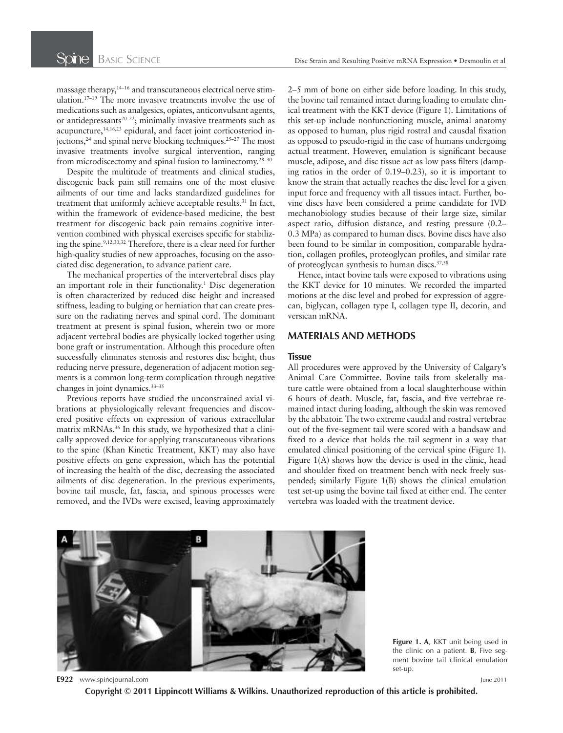massage therapy,<sup>14-16</sup> and transcutaneous electrical nerve stimulation.<sup>17-19</sup> The more invasive treatments involve the use of medications such as analgesics, opiates, anticonvulsant agents, or antidepressants<sup>20-22</sup>; minimally invasive treatments such as acupuncture,  $14,16,23$  epidural, and facet joint corticosteriod injections,  $24$  and spinal nerve blocking techniques.  $25-27$  The most invasive treatments involve surgical intervention, ranging from microdiscectomy and spinal fusion to laminectomy.<sup>28-30</sup>

Despite the multitude of treatments and clinical studies, discogenic back pain still remains one of the most elusive ailments of our time and lacks standardized guidelines for treatment that uniformly achieve acceptable results.<sup>31</sup> In fact, within the framework of evidence-based medicine, the best treatment for discogenic back pain remains cognitive intervention combined with physical exercises specific for stabilizing the spine.<sup>9,12,30,32</sup> Therefore, there is a clear need for further high-quality studies of new approaches, focusing on the associated disc degeneration, to advance patient care.

The mechanical properties of the intervertebral discs play an important role in their functionality.<sup>1</sup> Disc degeneration is often characterized by reduced disc height and increased stiffness, leading to bulging or herniation that can create pressure on the radiating nerves and spinal cord. The dominant treatment at present is spinal fusion, wherein two or more adjacent vertebral bodies are physically locked together using bone graft or instrumentation. Although this procedure often successfully eliminates stenosis and restores disc height, thus reducing nerve pressure, degeneration of adjacent motion segments is a common long-term complication through negative changes in joint dynamics.<sup>33-35</sup>

Previous reports have studied the unconstrained axial vibrations at physiologically relevant frequencies and discovered positive effects on expression of various extracellular matrix mRNAs.<sup>36</sup> In this study, we hypothesized that a clinically approved device for applying transcutaneous vibrations to the spine (Khan Kinetic Treatment, KKT) may also have positive effects on gene expression, which has the potential of increasing the health of the disc, decreasing the associated ailments of disc degeneration. In the previous experiments, bovine tail muscle, fat, fascia, and spinous processes were removed, and the IVDs were excised, leaving approximately 2–5 mm of bone on either side before loading. In this study, the bovine tail remained intact during loading to emulate clinical treatment with the KKT device (Figure 1). Limitations of this set-up include nonfunctioning muscle, animal anatomy as opposed to human, plus rigid rostral and causdal fixation as opposed to pseudo-rigid in the case of humans undergoing actual treatment. However, emulation is significant because muscle, adipose, and disc tissue act as low pass filters (damping ratios in the order of 0.19–0.23), so it is important to know the strain that actually reaches the disc level for a given input force and frequency with all tissues intact. Further, bovine discs have been considered a prime candidate for IVD mechanobiology studies because of their large size, similar aspect ratio, diffusion distance, and resting pressure (0.2– 0.3 MPa) as compared to human discs. Bovine discs have also been found to be similar in composition, comparable hydration, collagen profiles, proteoglycan profiles, and similar rate of proteoglycan synthesis to human discs.<sup>37,38</sup>

Hence, intact bovine tails were exposed to vibrations using the KKT device for 10 minutes. We recorded the imparted motions at the disc level and probed for expression of aggrecan, biglycan, collagen type I, collagen type II, decorin, and versican mRNA.

#### **MATERIALS AND METHODS**

#### **Tissue**

All procedures were approved by the University of Calgary's Animal Care Committee. Bovine tails from skeletally mature cattle were obtained from a local slaughterhouse within 6 hours of death. Muscle, fat, fascia, and five vertebrae remained intact during loading, although the skin was removed by the abbatoir. The two extreme caudal and rostral vertebrae out of the five-segment tail were scored with a bandsaw and fixed to a device that holds the tail segment in a way that emulated clinical positioning of the cervical spine (Figure 1). Figure  $1(A)$  shows how the device is used in the clinic, head and shoulder fixed on treatment bench with neck freely suspended; similarly Figure  $1(B)$  shows the clinical emulation test set-up using the bovine tail fixed at either end. The center vertebra was loaded with the treatment device.



**Figure 1. A**, KKT unit being used in the clinic on a patient. **B**, Five segment bovine tail clinical emulation set-up.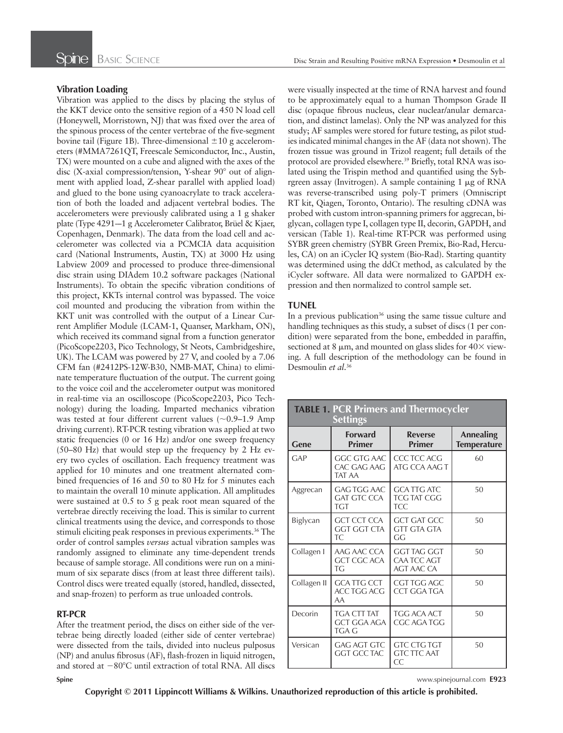#### **Vibration Loading**

Vibration was applied to the discs by placing the stylus of the KKT device onto the sensitive region of a 450 N load cell (Honeywell, Morristown, NJ) that was fixed over the area of the spinous process of the center vertebrae of the five-segment bovine tail (Figure 1B). Three-dimensional  $\pm 10$  g accelerometers (#MMA7261QT, Freescale Semiconductor, Inc., Austin, TX) were mounted on a cube and aligned with the axes of the disc (X-axial compression/tension, Y-shear  $90^{\circ}$  out of alignment with applied load, Z-shear parallel with applied load) and glued to the bone using cyanoacrylate to track acceleration of both the loaded and adjacent vertebral bodies. The accelerometers were previously calibrated using a 1 g shaker plate (Type 4291-–1 g Accelerometer Calibrator, Brüel & Kjaer, Copenhagen, Denmark). The data from the load cell and accelerometer was collected via a PCMCIA data acquisition card (National Instruments, Austin, TX) at 3000 Hz using Labview 2009 and processed to produce three-dimensional disc strain using DIAdem 10.2 software packages (National Instruments). To obtain the specific vibration conditions of this project, KKTs internal control was bypassed. The voice coil mounted and producing the vibration from within the KKT unit was controlled with the output of a Linear Current Amplifier Module (LCAM-1, Quanser, Markham, ON), which received its command signal from a function generator (PicoScope2203, Pico Technology, St Neots, Cambridgeshire, UK). The LCAM was powered by 27 V, and cooled by a 7.06 CFM fan (#2412PS-12W-B30, NMB-MAT, China) to eliminate temperature fluctuation of the output. The current going to the voice coil and the accelerometer output was monitored in real-time via an oscilloscope (PicoScope2203, Pico Technology) during the loading. Imparted mechanics vibration was tested at four different current values (~0.9–1.9 Amp driving current). RT-PCR testing vibration was applied at two static frequencies (0 or 16 Hz) and/or one sweep frequency (50–80 Hz) that would step up the frequency by 2 Hz every two cycles of oscillation. Each frequency treatment was applied for 10 minutes and one treatment alternated combined frequencies of 16 and 50 to 80 Hz for 5 minutes each to maintain the overall 10 minute application. All amplitudes were sustained at 0.5 to 5 g peak root mean squared of the vertebrae directly receiving the load. This is similar to current clinical treatments using the device, and corresponds to those stimuli eliciting peak responses in previous experiments.<sup>36</sup> The order of control samples *versus* actual vibration samples was randomly assigned to eliminate any time-dependent trends because of sample storage. All conditions were run on a minimum of six separate discs (from at least three different tails). Control discs were treated equally (stored, handled, dissected, and snap-frozen) to perform as true unloaded controls.

#### **RT-PCR**

After the treatment period, the discs on either side of the vertebrae being directly loaded (either side of center vertebrae) were dissected from the tails, divided into nucleus pulposus (NP) and anulus fibrosus (AF), flash-frozen in liquid nitrogen, and stored at −80°C until extraction of total RNA. All discs were visually inspected at the time of RNA harvest and found to be approximately equal to a human Thompson Grade II disc (opaque fibrous nucleus, clear nuclear/anular demarcation, and distinct lamelas). Only the NP was analyzed for this study; AF samples were stored for future testing, as pilot studies indicated minimal changes in the AF (data not shown). The frozen tissue was ground in Trizol reagent; full details of the protocol are provided elsewhere.<sup>39</sup> Briefly, total RNA was isolated using the Trispin method and quantified using the Sybrgreen assay (Invitrogen). A sample containing 1 μg of RNA was reverse-transcribed using poly-T primers (Omniscript RT kit, Qiagen, Toronto, Ontario). The resulting cDNA was probed with custom intron-spanning primers for aggrecan, biglycan, collagen type I, collagen type II, decorin, GAPDH, and versican (Table 1). Real-time RT-PCR was performed using SYBR green chemistry (SYBR Green Premix, Bio-Rad, Hercules, CA) on an iCycler IQ system (Bio-Rad). Starting quantity was determined using the ddCt method, as calculated by the iCycler software. All data were normalized to GAPDH expression and then normalized to control sample set.

#### **TUNEL**

In a previous publication<sup>36</sup> using the same tissue culture and handling techniques as this study, a subset of discs (1 per condition) were separated from the bone, embedded in paraffin, sectioned at 8  $\mu$ m, and mounted on glass slides for 40 $\times$  viewing. A full description of the methodology can be found in Desmoulin *et al*. 36

| <b>TABLE 1. PCR Primers and Thermocycler</b><br><b>Settings</b> |                                                 |                                                        |                                        |  |  |  |  |  |  |  |  |
|-----------------------------------------------------------------|-------------------------------------------------|--------------------------------------------------------|----------------------------------------|--|--|--|--|--|--|--|--|
| Gene                                                            | <b>Forward</b><br><b>Primer</b>                 | <b>Reverse</b><br>Primer                               | <b>Annealing</b><br><b>Temperature</b> |  |  |  |  |  |  |  |  |
| GAP                                                             | GGC GTG AAC<br>CAC GAG AAG<br>TAT AA            | CCC TCC ACG<br>ATG CCA AAG T                           | 60                                     |  |  |  |  |  |  |  |  |
| Aggrecan                                                        | GAG TGG AAC<br><b>GAT GTC CCA</b><br><b>TGT</b> | <b>GCA TTG ATC</b><br><b>TCG TAT CGG</b><br><b>TCC</b> | 50                                     |  |  |  |  |  |  |  |  |
| Biglycan                                                        | <b>GCT CCT CCA</b><br><b>GGT GGT CTA</b><br>TC. | <b>GCT GAT GCC</b><br><b>GTT GTA GTA</b><br>GG         | 50                                     |  |  |  |  |  |  |  |  |
| Collagen I                                                      | AAG AAC CCA<br><b>GCT CGC ACA</b><br>TG         | GGT TAG GGT<br>CAA TCC AGT<br><b>AGT AAC CA</b>        | 50                                     |  |  |  |  |  |  |  |  |
| Collagen II                                                     | <b>GCATTG CCT</b><br>ACC TGG ACG<br>AA          | CGT TGG AGC<br>CCT GGA TGA                             | 50                                     |  |  |  |  |  |  |  |  |
| Decorin                                                         | TGA CTT TAT<br>GCT GGA AGA<br>TGA G             | TGG ACA ACT<br>CGC AGA TGG                             | 50                                     |  |  |  |  |  |  |  |  |
| Versican                                                        | <b>GAG AGT GTC</b><br>GGT GCC TAC               | GTC CTG TGT<br><b>GTC TTC AAT</b><br>CC                | 50                                     |  |  |  |  |  |  |  |  |

**Spine** www.spinejournal.com **E923**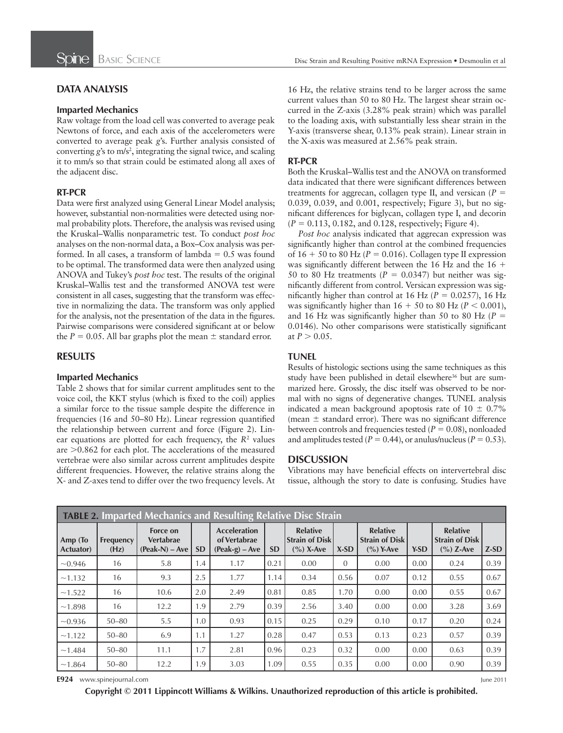# **DATA ANALYSIS**

#### **Imparted Mechanics**

Raw voltage from the load cell was converted to average peak Newtons of force, and each axis of the accelerometers were converted to average peak *g*'s. Further analysis consisted of converting  $g$ 's to m/s<sup>2</sup>, integrating the signal twice, and scaling it to mm/s so that strain could be estimated along all axes of the adjacent disc.

#### **RT-PCR**

Data were first analyzed using General Linear Model analysis; however, substantial non-normalities were detected using normal probability plots. Therefore, the analysis was revised using the Kruskal–Wallis nonparametric test. To conduct *post hoc* analyses on the non-normal data, a Box–Cox analysis was performed. In all cases, a transform of lambda  $= 0.5$  was found to be optimal. The transformed data were then analyzed using ANOVA and Tukey's *post hoc* test. The results of the original Kruskal–Wallis test and the transformed ANOVA test were consistent in all cases, suggesting that the transform was effective in normalizing the data. The transform was only applied for the analysis, not the presentation of the data in the figures. Pairwise comparisons were considered significant at or below the  $P = 0.05$ . All bar graphs plot the mean  $\pm$  standard error.

## **RESULTS**

#### **Imparted Mechanics**

Table 2 shows that for similar current amplitudes sent to the voice coil, the KKT stylus (which is fixed to the coil) applies a similar force to the tissue sample despite the difference in frequencies (16 and 50–80 Hz). Linear regression quantified the relationship between current and force (Figure 2). Linear equations are plotted for each frequency, the  $R<sup>2</sup>$  values are >0.862 for each plot. The accelerations of the measured vertebrae were also similar across current amplitudes despite different frequencies. However, the relative strains along the X- and Z-axes tend to differ over the two frequency levels. At

16 Hz, the relative strains tend to be larger across the same current values than 50 to 80 Hz. The largest shear strain occurred in the Z-axis (3.28% peak strain) which was parallel to the loading axis, with substantially less shear strain in the Y-axis (transverse shear, 0.13% peak strain). Linear strain in the X-axis was measured at 2.56% peak strain.

### **RT-PCR**

Both the Kruskal–Wallis test and the ANOVA on transformed data indicated that there were significant differences between treatments for aggrecan, collagen type II, and versican  $(P =$ 0.039, 0.039, and 0.001, respectively; Figure 3), but no significant differences for biglycan, collagen type I, and decorin  $(P = 0.113, 0.182, \text{ and } 0.128, \text{ respectively}; \text{Figure 4}.$ 

*Post hoc* analysis indicated that aggrecan expression was significantly higher than control at the combined frequencies of  $16 + 50$  to 80 Hz ( $P = 0.016$ ). Collagen type II expression was significantly different between the 16 Hz and the  $16 +$ 50 to 80 Hz treatments ( $P = 0.0347$ ) but neither was significantly different from control. Versican expression was significantly higher than control at 16 Hz ( $P = 0.0257$ ), 16 Hz was significantly higher than  $16 + 50$  to 80 Hz ( $P < 0.001$ ), and 16 Hz was significantly higher than 50 to 80 Hz  $(P =$ 0.0146). No other comparisons were statistically significant at  $P > 0.05$ .

### **TUNEL**

Results of histologic sections using the same techniques as this study have been published in detail elsewhere<sup>36</sup> but are summarized here. Grossly, the disc itself was observed to be normal with no signs of degenerative changes. TUNEL analysis indicated a mean background apoptosis rate of  $10 \pm 0.7\%$ (mean  $\pm$  standard error). There was no significant difference between controls and frequencies tested  $(P = 0.08)$ , nonloaded and amplitudes tested ( $P = 0.44$ ), or anulus/nucleus ( $P = 0.53$ ).

#### **DISCUSSION**

Vibrations may have beneficial effects on intervertebral disc tissue, although the story to date is confusing. Studies have

| <b>TABLE 2. Imparted Mechanics and Resulting Relative Disc Strain</b> |                          |                                           |           |                                                         |           |                                                          |                |                                                          |      |                                                          |        |  |  |
|-----------------------------------------------------------------------|--------------------------|-------------------------------------------|-----------|---------------------------------------------------------|-----------|----------------------------------------------------------|----------------|----------------------------------------------------------|------|----------------------------------------------------------|--------|--|--|
| Amp (To<br><b>Actuator</b> )                                          | <b>Frequency</b><br>(Hz) | Force on<br>Vertabrae<br>$(Peak-N) - Ave$ | <b>SD</b> | <b>Acceleration</b><br>of Vertabrae<br>$(Peak-g) - Ave$ | <b>SD</b> | <b>Relative</b><br><b>Strain of Disk</b><br>$(\%)$ X-Ave | $X-SD$         | <b>Relative</b><br><b>Strain of Disk</b><br>$(\%)$ Y-Ave | Y-SD | <b>Relative</b><br><b>Strain of Disk</b><br>$(\%)$ Z-Ave | $Z-SD$ |  |  |
| $\sim 0.946$                                                          | 16                       | 5.8                                       | 1.4       | 1.17                                                    | 0.21      | 0.00                                                     | $\overline{0}$ | 0.00                                                     | 0.00 | 0.24                                                     | 0.39   |  |  |
| ~1.132                                                                | 16                       | 9.3                                       | 2.5       | 1.77                                                    | 1.14      | 0.34                                                     | 0.56           | 0.07                                                     | 0.12 | 0.55                                                     | 0.67   |  |  |
| ~1.522                                                                | 16                       | 10.6                                      | 2.0       | 2.49                                                    | 0.81      | 0.85                                                     | 1.70           | 0.00                                                     | 0.00 | 0.55                                                     | 0.67   |  |  |
| ~1.898                                                                | 16                       | 12.2                                      | 1.9       | 2.79                                                    | 0.39      | 2.56                                                     | 3.40           | 0.00                                                     | 0.00 | 3.28                                                     | 3.69   |  |  |
| $\sim 0.936$                                                          | $50 - 80$                | 5.5                                       | 1.0       | 0.93                                                    | 0.15      | 0.25                                                     | 0.29           | 0.10                                                     | 0.17 | 0.20                                                     | 0.24   |  |  |
| ~1.122                                                                | $50 - 80$                | 6.9                                       | 1.1       | 1.27                                                    | 0.28      | 0.47                                                     | 0.53           | 0.13                                                     | 0.23 | 0.57                                                     | 0.39   |  |  |
| ~1.484                                                                | $50 - 80$                | 11.1                                      | 1.7       | 2.81                                                    | 0.96      | 0.23                                                     | 0.32           | 0.00                                                     | 0.00 | 0.63                                                     | 0.39   |  |  |
| ~1.864                                                                | $50 - 80$                | 12.2                                      | 1.9       | 3.03                                                    | 1.09      | 0.55                                                     | 0.35           | 0.00                                                     | 0.00 | 0.90                                                     | 0.39   |  |  |

**E924** www.spinejournal.com June 2011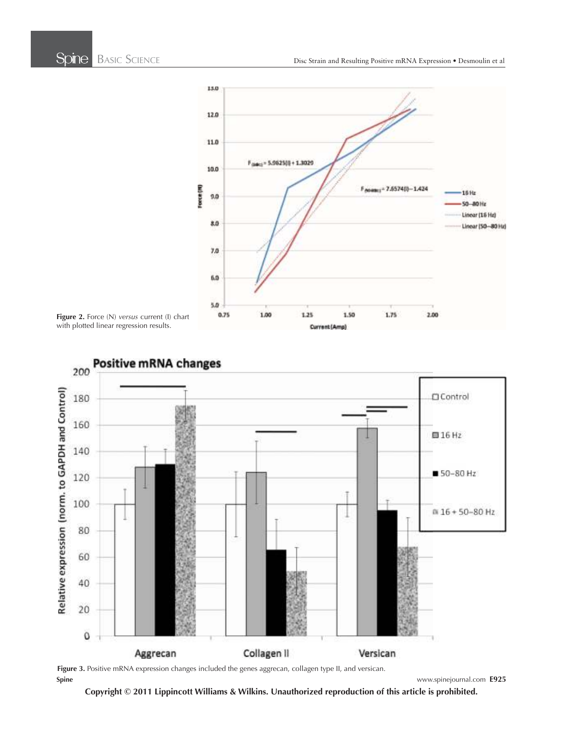





**Spine** www.spinejournal.com **E925 Figure 3.** Positive mRNA expression changes included the genes aggrecan, collagen type II, and versican.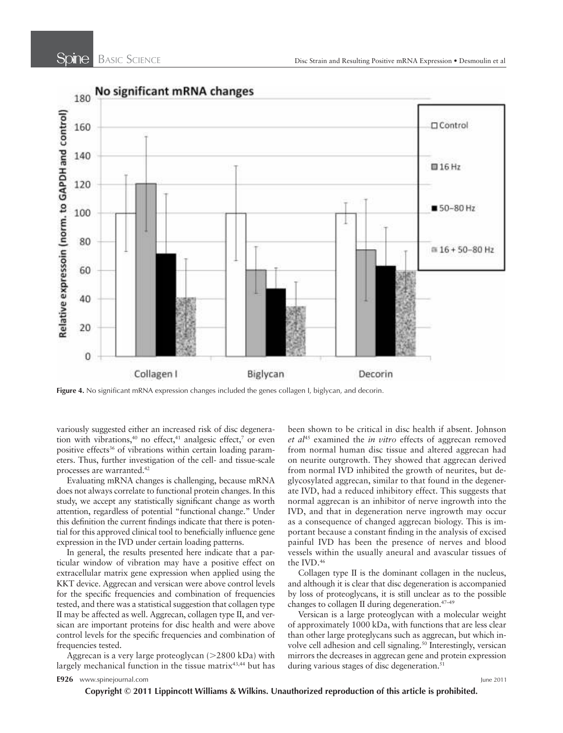

Figure 4. No significant mRNA expression changes included the genes collagen I, biglycan, and decorin.

variously suggested either an increased risk of disc degeneration with vibrations,  $40$  no effect,  $41$  analgesic effect,  $7$  or even positive effects<sup>36</sup> of vibrations within certain loading parameters. Thus, further investigation of the cell- and tissue-scale processes are warranted. <sup>42</sup>

Evaluating mRNA changes is challenging, because mRNA does not always correlate to functional protein changes. In this study, we accept any statistically significant change as worth attention, regardless of potential "functional change." Under this definition the current findings indicate that there is potential for this approved clinical tool to beneficially influence gene expression in the IVD under certain loading patterns.

In general, the results presented here indicate that a particular window of vibration may have a positive effect on extracellular matrix gene expression when applied using the KKT device. Aggrecan and versican were above control levels for the specific frequencies and combination of frequencies tested, and there was a statistical suggestion that collagen type II may be affected as well. Aggrecan, collagen type II, and versican are important proteins for disc health and were above control levels for the specific frequencies and combination of frequencies tested.

Aggrecan is a very large proteoglycan  $(>2800 \text{ kDa})$  with largely mechanical function in the tissue matrix<sup>43,44</sup> but has been shown to be critical in disc health if absent. Johnson et al<sup>45</sup> examined the *in vitro* effects of aggrecan removed from normal human disc tissue and altered aggrecan had on neurite outgrowth. They showed that aggrecan derived from normal IVD inhibited the growth of neurites, but deglycosylated aggrecan, similar to that found in the degenerate IVD, had a reduced inhibitory effect. This suggests that normal aggrecan is an inhibitor of nerve ingrowth into the IVD, and that in degeneration nerve ingrowth may occur as a consequence of changed aggrecan biology. This is important because a constant finding in the analysis of excised painful IVD has been the presence of nerves and blood vessels within the usually aneural and avascular tissues of the IVD.<sup>46</sup>

Collagen type II is the dominant collagen in the nucleus, and although it is clear that disc degeneration is accompanied by loss of proteoglycans, it is still unclear as to the possible changes to collagen II during degeneration.<sup>47-49</sup>

Versican is a large proteoglycan with a molecular weight of approximately 1000 kDa, with functions that are less clear than other large proteglycans such as aggrecan, but which involve cell adhesion and cell signaling.<sup>50</sup> Interestingly, versican mirrors the decreases in aggrecan gene and protein expression during various stages of disc degeneration.<sup>51</sup>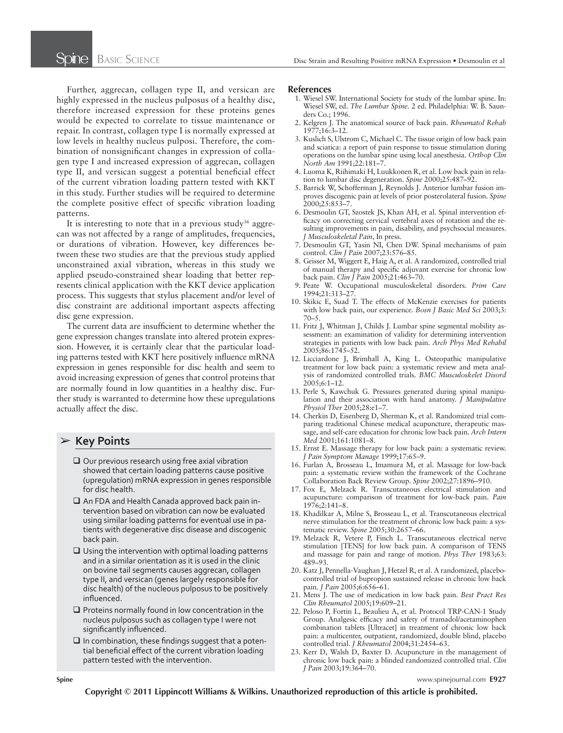Further, aggrecan, collagen type II, and versican are highly expressed in the nucleus pulposus of a healthy disc, therefore increased expression for these proteins genes would be expected to correlate to tissue maintenance or repair. In contrast, collagen type I is normally expressed at low levels in healthy nucleus pulposi. Therefore, the combination of nonsignificant changes in expression of collagen type I and increased expression of aggrecan, collagen type II, and versican suggest a potential beneficial effect of the current vibration loading pattern tested with KKT in this study. Further studies will be required to determine the complete positive effect of specific vibration loading patterns.

It is interesting to note that in a previous study<sup>36</sup> aggrecan was not affected by a range of amplitudes, frequencies, or durations of vibration. However, key differences between these two studies are that the previous study applied unconstrained axial vibration, whereas in this study we applied pseudo-constrained shear loading that better represents clinical application with the KKT device application process. This suggests that stylus placement and/or level of disc constraint are additional important aspects affecting disc gene expression.

The current data are insufficient to determine whether the gene expression changes translate into altered protein expression. However, it is certainly clear that the particular loading patterns tested with KKT here positively influence mRNA expression in genes responsible for disc health and seem to avoid increasing expression of genes that control proteins that are normally found in low quantities in a healthy disc. Further study is warranted to determine how these upregulations actually affect the disc.

# ➢ **Key Points**

- $\Box$  Our previous research using free axial vibration showed that certain loading patterns cause positive (upregulation) mRNA expression in genes responsible for disc health.
- $\Box$  An FDA and Health Canada approved back pain intervention based on vibration can now be evaluated using similar loading patterns for eventual use in patients with degenerative disc disease and discogenic back pain.
- $\Box$  Using the intervention with optimal loading patterns and in a similar orientation as it is used in the clinic on bovine tail segments causes aggrecan, collagen type II, and versican (genes largely responsible for disc health) of the nucleous pulposus to be positively influenced.
- $\Box$  Proteins normally found in low concentration in the nucleus pulposus such as collagen type I were not significantly influenced.
- $\Box$  In combination, these findings suggest that a potential beneficial effect of the current vibration loading pattern tested with the intervention.

#### **References**

- 1. Wiesel SW. International Society for study of the lumbar spine. In: Wiesel SW, ed. *The Lumbar Spine*. 2 ed. Philadelphia: W. B. Saunders Co.; 1996.
- 2. Kelgren J. The anatomical source of back pain. *Rheumatol Rehab* 1977;16:3-12.
- 3. Kuslich S, Ulstrom C, Michael C. The tissue origin of low back pain and sciatica: a report of pain response to tissue stimulation during operations on the lumbar spine using local anesthesia . *Orthop Clin North Am* 1991;22:181-7.
- 4. Luoma K, Riihimaki H, Luukkonen R, et al. Low back pain in relation to lumbar disc degeneration. Spine 2000;25:487-92.
- 5. Barrick W, Schofferman J, Reynolds J. Anterior lumbar fusion improves discogenic pain at levels of prior posterolateral fusion . *Spine* 2000;25:853–7.
- 6. Desmoulin GT, Szostek JS, Khan AH, et al. Spinal intervention efficacy on correcting cervical vertebral axes of rotation and the resulting improvements in pain, disability, and psychsocial measures. *J Musculoskeletal Pain* , In press.
- 7. Desmoulin GT, Yasin NI, Chen DW. Spinal mechanisms of pain control . *Clin J Pain* 2007 ; 23 : 576 – 85 .
	- 8. Geisser M, Wiggert E, Haig A, et al. A randomized, controlled trial of manual therapy and specific adjuvant exercise for chronic low back pain. *Clin J Pain* 2005;21:463-70.
	- 9. Peate W. Occupational musculoskeletal disorders. Prim Care 1994;21:313-27
- 10. Skikic E, Suad T. The effects of McKenzie exercises for patients with low back pain, our experience. *Bosn J Basic Med Sci* 2003;3:  $70 - 5$ .
- 11. Fritz J, Whitman J, Childs J. Lumbar spine segmental mobility assessment: an examination of validity for determining intervention strategies in patients with low back pain . *Arch Phys Med Rehabil* 2005;86:1745-52.
- 12. Licciardone J, Brimhall A, King L. Osteopathic manipulative treatment for low back pain: a systematic review and meta analysis of randomized controlled trials . *BMC Musculoskelet Disord* 2005;6:1-12.
- 13. Perle S, Kawchuk G. Pressures generated during spinal manipulation and their association with hand anatomy . *J Manipulative*  Physiol Ther 2005;28:e1-7.
- 14. Cherkin D, Eisenberg D, Sherman K, et al. Randomized trial comparing traditional Chinese medical acupuncture, therapeutic massage, and self-care education for chronic low back pain . *Arch Intern Med* 2001;161:1081-8.
- 15. Ernst E. Massage therapy for low back pain: a systematic review. *J Pain Symptom Manage* 1999 ; 17 : 65 – 9 .
- 16. Furlan A, Brosseau L, Imamura M, et al. Massage for low-back pain: a systematic review within the framework of the Cochrane Collaboration Back Review Group. Spine 2002;27:1896-910.
- 17. Fox E, Melzack R. Transcutaneous electrical stimulation and acupuncture: comparison of treatment for low-back pain . *Pain* 1976:2:141-8.
- 18. Khadilkar A, Milne S, Brosseau L, et al. Transcutaneous electrical nerve stimulation for the treatment of chronic low back pain: a systematic review. Spine 2005;30:2657-66.
- 19. Melzack R, Vetere P, Finch L. Transcutaneous electrical nerve stimulation [TENS] for low back pain. A comparison of TENS and massage for pain and range of motion. *Phys Ther* 1983;63: 489 – 93.
- 20. Katz J, Pennella-Vaughan J, Hetzel R, et al. A randomized, placebocontrolled trial of bupropion sustained release in chronic low back pain. *J Pain* 2005;6:656–61.
- 21. Mens J. The use of medication in low back pain. *Best Pract Res Clin Rheumatol* 2005;19:609-21.
- 22. Peloso P, Fortin L, Beaulieu A, et al. Protocol TRP-CAN-1 Study Group. Analgesic efficacy and safety of tramadol/acetaminophen combination tablets [Ultracet] in treatment of chronic low back pain: a multicenter, outpatient, randomized, double blind, placebo controlled trial. *J Rheumatol* 2004;31:2454-63.
- 23. Kerr D, Walsh D, Baxter D. Acupuncture in the management of chronic low back pain: a blinded randomized controlled trial . *Clin J Pain* 2003;19:364-70.